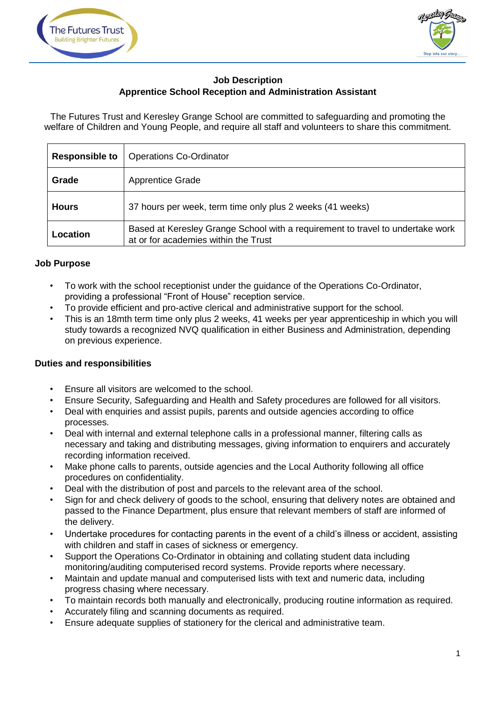



# **Job Description Apprentice School Reception and Administration Assistant**

The Futures Trust and Keresley Grange School are committed to safeguarding and promoting the welfare of Children and Young People, and require all staff and volunteers to share this commitment.

| <b>Responsible to</b> | <b>Operations Co-Ordinator</b>                                                                                         |
|-----------------------|------------------------------------------------------------------------------------------------------------------------|
| Grade                 | <b>Apprentice Grade</b>                                                                                                |
| <b>Hours</b>          | 37 hours per week, term time only plus 2 weeks (41 weeks)                                                              |
| Location              | Based at Keresley Grange School with a requirement to travel to undertake work<br>at or for academies within the Trust |

## **Job Purpose**

- To work with the school receptionist under the guidance of the Operations Co-Ordinator, providing a professional "Front of House" reception service.
- To provide efficient and pro-active clerical and administrative support for the school.
- This is an 18mth term time only plus 2 weeks, 41 weeks per year apprenticeship in which you will study towards a recognized NVQ qualification in either Business and Administration, depending on previous experience.

## **Duties and responsibilities**

- Ensure all visitors are welcomed to the school.
- Ensure Security, Safeguarding and Health and Safety procedures are followed for all visitors.
- Deal with enquiries and assist pupils, parents and outside agencies according to office processes.
- Deal with internal and external telephone calls in a professional manner, filtering calls as necessary and taking and distributing messages, giving information to enquirers and accurately recording information received.
- Make phone calls to parents, outside agencies and the Local Authority following all office procedures on confidentiality.
- Deal with the distribution of post and parcels to the relevant area of the school.
- Sign for and check delivery of goods to the school, ensuring that delivery notes are obtained and passed to the Finance Department, plus ensure that relevant members of staff are informed of the delivery.
- Undertake procedures for contacting parents in the event of a child's illness or accident, assisting with children and staff in cases of sickness or emergency.
- Support the Operations Co-Ordinator in obtaining and collating student data including monitoring/auditing computerised record systems. Provide reports where necessary.
- Maintain and update manual and computerised lists with text and numeric data, including progress chasing where necessary.
- To maintain records both manually and electronically, producing routine information as required.
- Accurately filing and scanning documents as required.
- Ensure adequate supplies of stationery for the clerical and administrative team.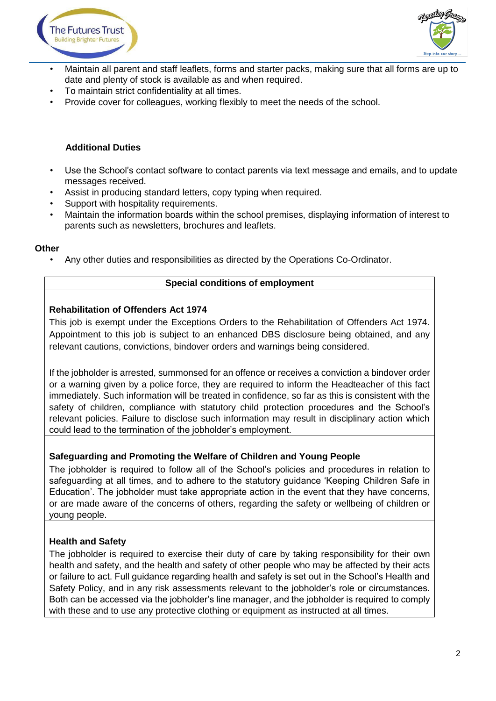



- Maintain all parent and staff leaflets, forms and starter packs, making sure that all forms are up to date and plenty of stock is available as and when required.
- To maintain strict confidentiality at all times.
- Provide cover for colleagues, working flexibly to meet the needs of the school.

## **Additional Duties**

- Use the School's contact software to contact parents via text message and emails, and to update messages received.
- Assist in producing standard letters, copy typing when required.
- Support with hospitality requirements.
- Maintain the information boards within the school premises, displaying information of interest to parents such as newsletters, brochures and leaflets.

#### **Other**

• Any other duties and responsibilities as directed by the Operations Co-Ordinator.

#### **Special conditions of employment**

### **Rehabilitation of Offenders Act 1974**

This job is exempt under the Exceptions Orders to the Rehabilitation of Offenders Act 1974. Appointment to this job is subject to an enhanced DBS disclosure being obtained, and any relevant cautions, convictions, bindover orders and warnings being considered.

If the jobholder is arrested, summonsed for an offence or receives a conviction a bindover order or a warning given by a police force, they are required to inform the Headteacher of this fact immediately. Such information will be treated in confidence, so far as this is consistent with the safety of children, compliance with statutory child protection procedures and the School's relevant policies. Failure to disclose such information may result in disciplinary action which could lead to the termination of the jobholder's employment.

#### **Safeguarding and Promoting the Welfare of Children and Young People**

The jobholder is required to follow all of the School's policies and procedures in relation to safeguarding at all times, and to adhere to the statutory guidance 'Keeping Children Safe in Education'. The jobholder must take appropriate action in the event that they have concerns, or are made aware of the concerns of others, regarding the safety or wellbeing of children or young people.

#### **Health and Safety**

The jobholder is required to exercise their duty of care by taking responsibility for their own health and safety, and the health and safety of other people who may be affected by their acts or failure to act. Full guidance regarding health and safety is set out in the School's Health and Safety Policy, and in any risk assessments relevant to the jobholder's role or circumstances. Both can be accessed via the jobholder's line manager, and the jobholder is required to comply with these and to use any protective clothing or equipment as instructed at all times.